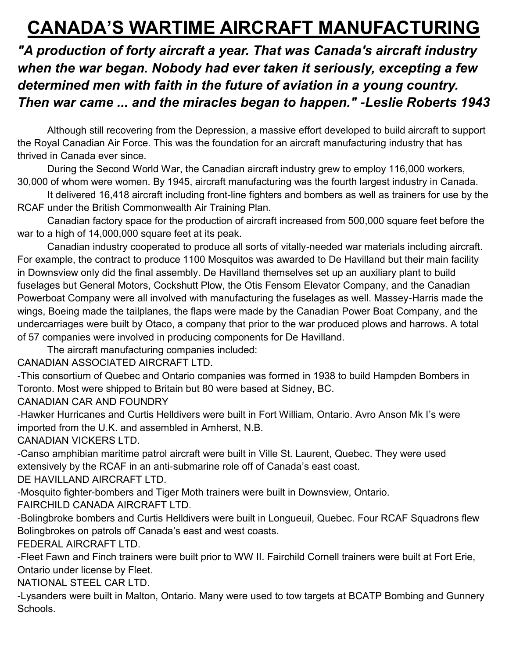## **CANADA'S WARTIME AIRCRAFT MANUFACTURING**

*"A production of forty aircraft a year. That was Canada's aircraft industry when the war began. Nobody had ever taken it seriously, excepting a few determined men with faith in the future of aviation in a young country. Then war came ... and the miracles began to happen." -Leslie Roberts 1943*

Although still recovering from the Depression, a massive effort developed to build aircraft to support the Royal Canadian Air Force. This was the foundation for an aircraft manufacturing industry that has thrived in Canada ever since.

During the Second World War, the Canadian aircraft industry grew to employ 116,000 workers, 30,000 of whom were women. By 1945, aircraft manufacturing was the fourth largest industry in Canada.

It delivered 16,418 aircraft including front-line fighters and bombers as well as trainers for use by the RCAF under the British Commonwealth Air Training Plan.

Canadian factory space for the production of aircraft increased from 500,000 square feet before the war to a high of 14,000,000 square feet at its peak.

Canadian industry cooperated to produce all sorts of vitally-needed war materials including aircraft. For example, the contract to produce 1100 Mosquitos was awarded to De Havilland but their main facility in Downsview only did the final assembly. De Havilland themselves set up an auxiliary plant to build fuselages but General Motors, Cockshutt Plow, the Otis Fensom Elevator Company, and the Canadian Powerboat Company were all involved with manufacturing the fuselages as well. Massey-Harris made the wings, Boeing made the tailplanes, the flaps were made by the Canadian Power Boat Company, and the undercarriages were built by Otaco, a company that prior to the war produced plows and harrows. A total of 57 companies were involved in producing components for De Havilland.

The aircraft manufacturing companies included:

CANADIAN ASSOCIATED AIRCRAFT LTD.

-This consortium of Quebec and Ontario companies was formed in 1938 to build Hampden Bombers in Toronto. Most were shipped to Britain but 80 were based at Sidney, BC.

CANADIAN CAR AND FOUNDRY

-Hawker Hurricanes and Curtis Helldivers were built in Fort William, Ontario. Avro Anson Mk I's were imported from the U.K. and assembled in Amherst, N.B.

CANADIAN VICKERS LTD.

-Canso amphibian maritime patrol aircraft were built in Ville St. Laurent, Quebec. They were used extensively by the RCAF in an anti-submarine role off of Canada's east coast.

DE HAVILLAND AIRCRAFT LTD.

-Mosquito fighter-bombers and Tiger Moth trainers were built in Downsview, Ontario.

FAIRCHILD CANADA AIRCRAFT LTD.

-Bolingbroke bombers and Curtis Helldivers were built in Longueuil, Quebec. Four RCAF Squadrons flew Bolingbrokes on patrols off Canada's east and west coasts.

FEDERAL AIRCRAFT LTD.

-Fleet Fawn and Finch trainers were built prior to WW II. Fairchild Cornell trainers were built at Fort Erie, Ontario under license by Fleet.

NATIONAL STEEL CAR LTD.

-Lysanders were built in Malton, Ontario. Many were used to tow targets at BCATP Bombing and Gunnery Schools.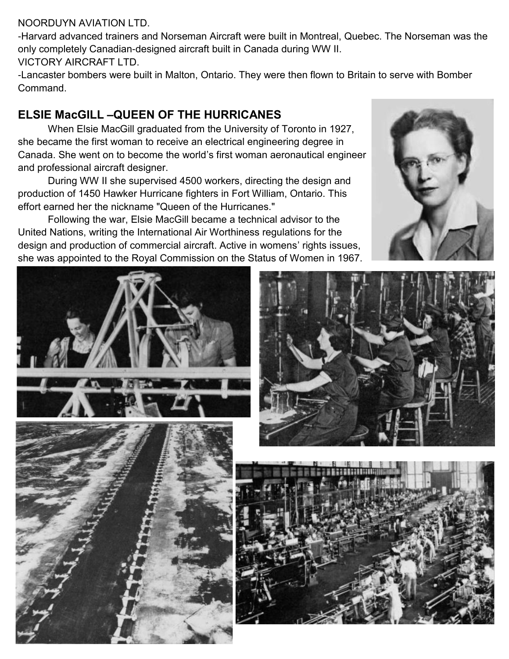## NOORDUYN AVIATION LTD.

-Harvard advanced trainers and Norseman Aircraft were built in Montreal, Quebec. The Norseman was the only completely Canadian-designed aircraft built in Canada during WW II.

VICTORY AIRCRAFT LTD.

-Lancaster bombers were built in Malton, Ontario. They were then flown to Britain to serve with Bomber Command.

## **ELSIE MacGILL –QUEEN OF THE HURRICANES**

When Elsie MacGill graduated from the University of Toronto in 1927, she became the first woman to receive an electrical engineering degree in Canada. She went on to become the world's first woman aeronautical engineer and professional aircraft designer.

During WW II she supervised 4500 workers, directing the design and production of 1450 Hawker Hurricane fighters in Fort William, Ontario. This effort earned her the nickname "Queen of the Hurricanes."

Following the war, Elsie MacGill became a technical advisor to the United Nations, writing the International Air Worthiness regulations for the design and production of commercial aircraft. Active in womens' rights issues, she was appointed to the Royal Commission on the Status of Women in 1967.